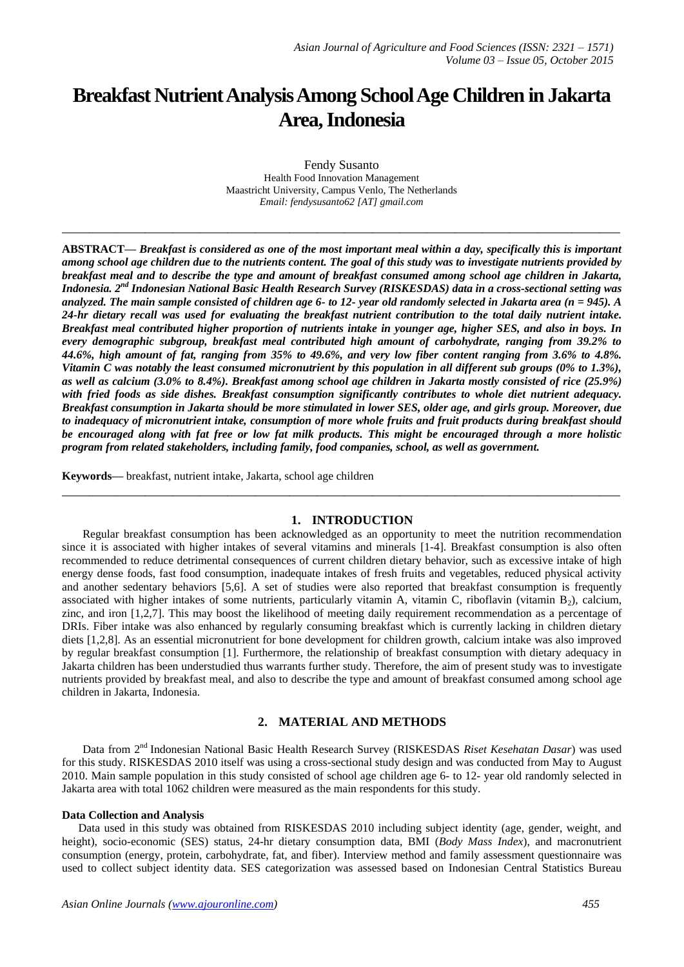# **Breakfast Nutrient Analysis Among School Age Children in Jakarta Area,Indonesia**

Fendy Susanto Health Food Innovation Management Maastricht University, Campus Venlo, The Netherlands *Email: fendysusanto62 [AT] gmail.com*

**\_\_\_\_\_\_\_\_\_\_\_\_\_\_\_\_\_\_\_\_\_\_\_\_\_\_\_\_\_\_\_\_\_\_\_\_\_\_\_\_\_\_\_\_\_\_\_\_\_\_\_\_\_\_\_\_\_\_\_\_\_\_\_\_\_\_\_\_\_\_\_\_\_\_\_\_\_\_\_\_\_**

**ABSTRACT—** *Breakfast is considered as one of the most important meal within a day, specifically this is important among school age children due to the nutrients content. The goal of this study was to investigate nutrients provided by breakfast meal and to describe the type and amount of breakfast consumed among school age children in Jakarta, Indonesia. 2 nd Indonesian National Basic Health Research Survey (RISKESDAS) data in a cross-sectional setting was analyzed. The main sample consisted of children age 6- to 12- year old randomly selected in Jakarta area (n = 945). A 24-hr dietary recall was used for evaluating the breakfast nutrient contribution to the total daily nutrient intake. Breakfast meal contributed higher proportion of nutrients intake in younger age, higher SES, and also in boys. In every demographic subgroup, breakfast meal contributed high amount of carbohydrate, ranging from 39.2% to 44.6%, high amount of fat, ranging from 35% to 49.6%, and very low fiber content ranging from 3.6% to 4.8%. Vitamin C was notably the least consumed micronutrient by this population in all different sub groups (0% to 1.3%), as well as calcium (3.0% to 8.4%). Breakfast among school age children in Jakarta mostly consisted of rice (25.9%) with fried foods as side dishes. Breakfast consumption significantly contributes to whole diet nutrient adequacy. Breakfast consumption in Jakarta should be more stimulated in lower SES, older age, and girls group. Moreover, due to inadequacy of micronutrient intake, consumption of more whole fruits and fruit products during breakfast should be encouraged along with fat free or low fat milk products. This might be encouraged through a more holistic program from related stakeholders, including family, food companies, school, as well as government.*

**Keywords—** breakfast, nutrient intake, Jakarta, school age children

# **1. INTRODUCTION**

**\_\_\_\_\_\_\_\_\_\_\_\_\_\_\_\_\_\_\_\_\_\_\_\_\_\_\_\_\_\_\_\_\_\_\_\_\_\_\_\_\_\_\_\_\_\_\_\_\_\_\_\_\_\_\_\_\_\_\_\_\_\_\_\_\_\_\_\_\_\_\_\_\_\_\_\_\_\_\_\_\_**

Regular breakfast consumption has been acknowledged as an opportunity to meet the nutrition recommendation since it is associated with higher intakes of several vitamins and minerals [1-4]. Breakfast consumption is also often recommended to reduce detrimental consequences of current children dietary behavior, such as excessive intake of high energy dense foods, fast food consumption, inadequate intakes of fresh fruits and vegetables, reduced physical activity and another sedentary behaviors [5,6]. A set of studies were also reported that breakfast consumption is frequently associated with higher intakes of some nutrients, particularly vitamin A, vitamin C, riboflavin (vitamin B<sub>2</sub>), calcium, zinc, and iron [1,2,7]. This may boost the likelihood of meeting daily requirement recommendation as a percentage of DRIs. Fiber intake was also enhanced by regularly consuming breakfast which is currently lacking in children dietary diets [1,2,8]. As an essential micronutrient for bone development for children growth, calcium intake was also improved by regular breakfast consumption [1]. Furthermore, the relationship of breakfast consumption with dietary adequacy in Jakarta children has been understudied thus warrants further study. Therefore, the aim of present study was to investigate nutrients provided by breakfast meal, and also to describe the type and amount of breakfast consumed among school age children in Jakarta, Indonesia.

# **2. MATERIAL AND METHODS**

Data from 2<sup>nd</sup> Indonesian National Basic Health Research Survey (RISKESDAS Riset Kesehatan Dasar) was used for this study. RISKESDAS 2010 itself was using a cross-sectional study design and was conducted from May to August 2010. Main sample population in this study consisted of school age children age 6- to 12- year old randomly selected in Jakarta area with total 1062 children were measured as the main respondents for this study.

## **Data Collection and Analysis**

Data used in this study was obtained from RISKESDAS 2010 including subject identity (age, gender, weight, and height), socio-economic (SES) status, 24-hr dietary consumption data, BMI (*Body Mass Index*), and macronutrient consumption (energy, protein, carbohydrate, fat, and fiber). Interview method and family assessment questionnaire was used to collect subject identity data. SES categorization was assessed based on Indonesian Central Statistics Bureau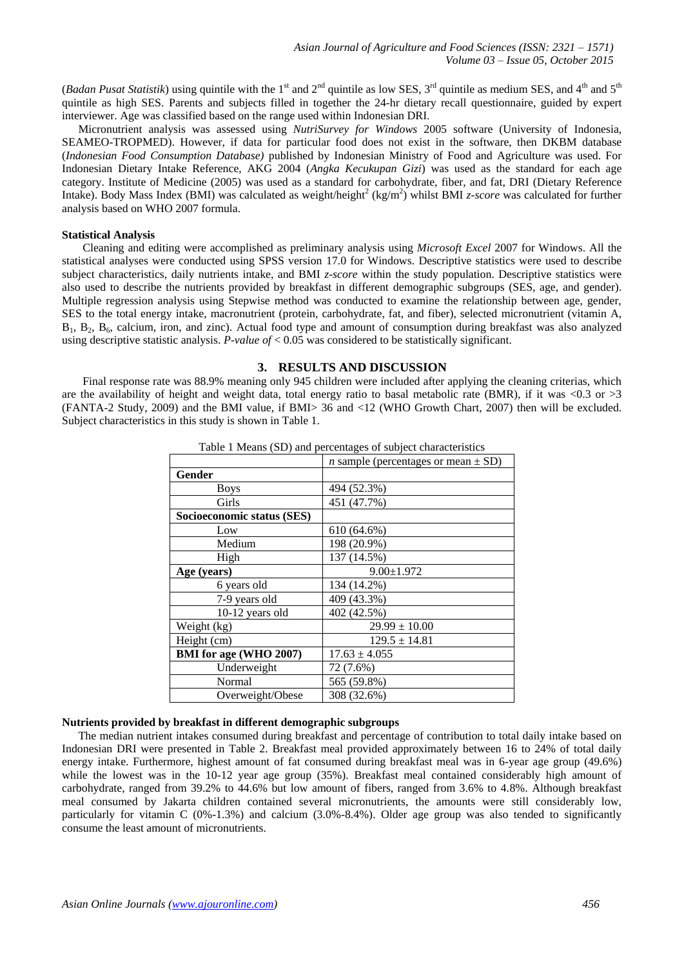(*Badan Pusat Statistik*) using quintile with the 1<sup>st</sup> and 2<sup>nd</sup> quintile as low SES, 3<sup>rd</sup> quintile as medium SES, and 4<sup>th</sup> and 5<sup>th</sup> quintile as high SES. Parents and subjects filled in together the 24-hr dietary recall questionnaire, guided by expert interviewer. Age was classified based on the range used within Indonesian DRI.

Micronutrient analysis was assessed using *NutriSurvey for Windows* 2005 software (University of Indonesia, SEAMEO-TROPMED). However, if data for particular food does not exist in the software, then DKBM database (*Indonesian Food Consumption Database)* published by Indonesian Ministry of Food and Agriculture was used. For Indonesian Dietary Intake Reference, AKG 2004 (*Angka Kecukupan Gizi*) was used as the standard for each age category. Institute of Medicine (2005) was used as a standard for carbohydrate, fiber, and fat, DRI (Dietary Reference Intake). Body Mass Index (BMI) was calculated as weight/height<sup>2</sup> (kg/m<sup>2</sup>) whilst BMI *z-score* was calculated for further analysis based on WHO 2007 formula.

## **Statistical Analysis**

Cleaning and editing were accomplished as preliminary analysis using *Microsoft Excel* 2007 for Windows. All the statistical analyses were conducted using SPSS version 17.0 for Windows. Descriptive statistics were used to describe subject characteristics, daily nutrients intake, and BMI *z-score* within the study population. Descriptive statistics were also used to describe the nutrients provided by breakfast in different demographic subgroups (SES, age, and gender). Multiple regression analysis using Stepwise method was conducted to examine the relationship between age, gender, SES to the total energy intake, macronutrient (protein, carbohydrate, fat, and fiber), selected micronutrient (vitamin A,  $B_1$ ,  $B_2$ ,  $B_6$ , calcium, iron, and zinc). Actual food type and amount of consumption during breakfast was also analyzed using descriptive statistic analysis. *P-value of* < 0.05 was considered to be statistically significant.

## **3. RESULTS AND DISCUSSION**

Final response rate was 88.9% meaning only 945 children were included after applying the cleaning criterias, which are the availability of height and weight data, total energy ratio to basal metabolic rate (BMR), if it was <0.3 or >3 (FANTA-2 Study, 2009) and the BMI value, if BMI> 36 and <12 (WHO Growth Chart, 2007) then will be excluded. Subject characteristics in this study is shown in Table 1.

|                            | able 1 means (BB) and percentages of sabject enamelements |
|----------------------------|-----------------------------------------------------------|
|                            | <i>n</i> sample (percentages or mean $\pm$ SD)            |
| Gender                     |                                                           |
| <b>Boys</b>                | 494 (52.3%)                                               |
| Girls                      | 451 (47.7%)                                               |
| Socioeconomic status (SES) |                                                           |
| Low                        | 610 (64.6%)                                               |
| Medium                     | 198 (20.9%)                                               |
| High                       | 137 (14.5%)                                               |
| Age (years)                | $9.00 \pm 1.972$                                          |
| 6 years old                | 134 (14.2%)                                               |
| 7-9 years old              | 409 (43.3%)                                               |
| 10-12 years old            | 402 (42.5%)                                               |
| Weight (kg)                | $29.99 \pm 10.00$                                         |
| Height (cm)                | $129.5 \pm 14.81$                                         |
| BMI for age (WHO 2007)     | $17.63 \pm 4.055$                                         |
| Underweight                | 72 (7.6%)                                                 |
| Normal                     | 565 (59.8%)                                               |
| Overweight/Obese           | 308 (32.6%)                                               |

Table 1 Means (SD) and percentages of subject characteristics

# **Nutrients provided by breakfast in different demographic subgroups**

The median nutrient intakes consumed during breakfast and percentage of contribution to total daily intake based on Indonesian DRI were presented in Table 2. Breakfast meal provided approximately between 16 to 24% of total daily energy intake. Furthermore, highest amount of fat consumed during breakfast meal was in 6-year age group (49.6%) while the lowest was in the 10-12 year age group (35%). Breakfast meal contained considerably high amount of carbohydrate, ranged from 39.2% to 44.6% but low amount of fibers, ranged from 3.6% to 4.8%. Although breakfast meal consumed by Jakarta children contained several micronutrients, the amounts were still considerably low, particularly for vitamin C (0%-1.3%) and calcium (3.0%-8.4%). Older age group was also tended to significantly consume the least amount of micronutrients.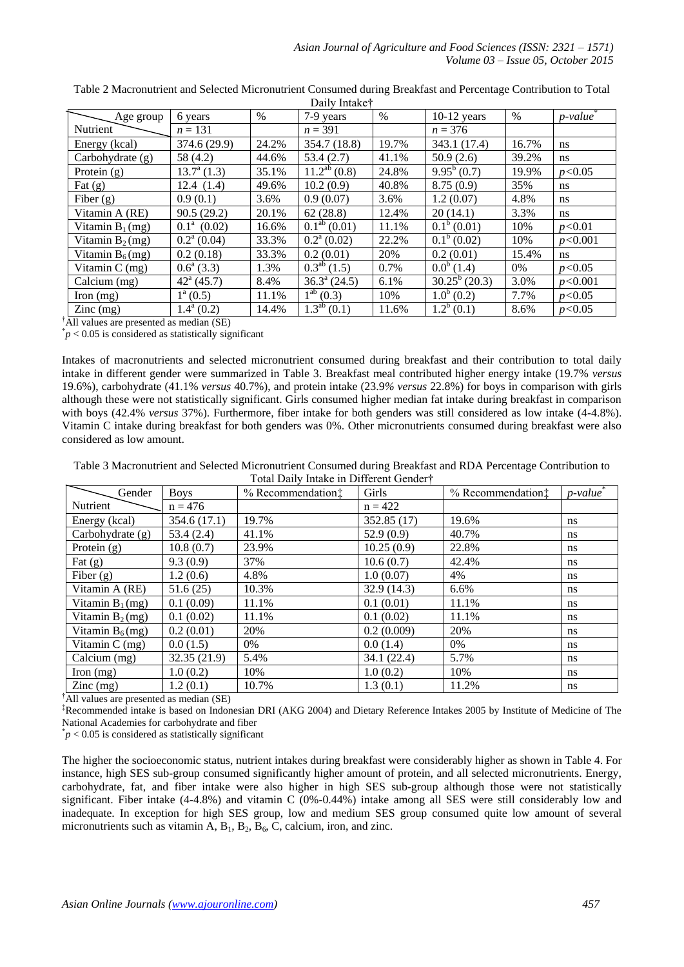|                                        |                         |       | Dally Illiane                |       |                  |       |         |
|----------------------------------------|-------------------------|-------|------------------------------|-------|------------------|-------|---------|
| Age group                              | 6 years                 | %     | 7-9 years                    | $\%$  | $10-12$ years    | $\%$  | p-value |
| Nutrient                               | $n = 131$               |       | $n = 391$                    |       | $n = 376$        |       |         |
| Energy (kcal)                          | 374.6 (29.9)            | 24.2% | 354.7 (18.8)                 | 19.7% | 343.1 (17.4)     | 16.7% | ns      |
| Carbohydrate (g)                       | 58 (4.2)                | 44.6% | 53.4(2.7)                    | 41.1% | 50.9(2.6)        | 39.2% | ns      |
| Protein $(g)$                          | $13.7^{\rm a}$ (1.3)    | 35.1% | $\overline{11.2}^{ab}$ (0.8) | 24.8% | $9.95^b(0.7)$    | 19.9% | p<0.05  |
| Fat $(g)$                              | 12.4(1.4)               | 49.6% | 10.2(0.9)                    | 40.8% | 8.75(0.9)        | 35%   | ns      |
| Fiber $(g)$                            | 0.9(0.1)                | 3.6%  | 0.9(0.07)                    | 3.6%  | 1.2(0.07)        | 4.8%  | ns      |
| Vitamin A (RE)                         | 90.5(29.2)              | 20.1% | 62(28.8)                     | 12.4% | 20(14.1)         | 3.3%  | ns      |
| Vitamin $B_1$ (mg)                     | $0.1^a$ (0.02)          | 16.6% | $0.1^{ab}$ (0.01)            | 11.1% | $0.1^b(0.01)$    | 10%   | p<0.01  |
| Vitamin $B_2$ (mg)                     | $0.2^{\text{a}}(0.04)$  | 33.3% | $0.2^{\text{a}} (0.02)$      | 22.2% | $0.1^b(0.02)$    | 10%   | p<0.001 |
| Vitamin $B_6$ (mg)                     | 0.2(0.18)               | 33.3% | 0.2(0.01)                    | 20%   | 0.2(0.01)        | 15.4% | ns      |
| Vitamin $C$ (mg)                       | $0.6^{\circ}$ (3.3)     | 1.3%  | $0.3^{ab}$ (1.5)             | 0.7%  | $0.0^b(1.4)$     | 0%    | p<0.05  |
| Calcium $(mg)$                         | $42^{\circ}$ (45.7)     | 8.4%  | $36.3^{\text{a}}(24.5)$      | 6.1%  | $30.25^b$ (20.3) | 3.0%  | p<0.001 |
| Iron $(mg)$                            | $1^a(0.5)$              | 11.1% | $1^{ab}$ (0.3)               | 10%   | $1.0^b(0.2)$     | 7.7%  | p<0.05  |
| $\text{Zinc} \left( \text{mg} \right)$ | $1.4^{\mathrm{a}}(0.2)$ | 14.4% | $1.3^{ab}$ (0.1)             | 11.6% | $1.2^b(0.1)$     | 8.6%  | p<0.05  |

Table 2 Macronutrient and Selected Micronutrient Consumed during Breakfast and Percentage Contribution to Total Daily Intake†

 $^{\dagger}$ All values are presented as median (SE)

 $p < 0.05$  is considered as statistically significant

Intakes of macronutrients and selected micronutrient consumed during breakfast and their contribution to total daily intake in different gender were summarized in Table 3. Breakfast meal contributed higher energy intake (19.7% *versus*  19.6%), carbohydrate (41.1% *versus* 40.7%), and protein intake (23.9*% versus* 22.8%) for boys in comparison with girls although these were not statistically significant. Girls consumed higher median fat intake during breakfast in comparison with boys (42.4% *versus* 37%). Furthermore, fiber intake for both genders was still considered as low intake (4-4.8%). Vitamin C intake during breakfast for both genders was 0%. Other micronutrients consumed during breakfast were also considered as low amount.

Table 3 Macronutrient and Selected Micronutrient Consumed during Breakfast and RDA Percentage Contribution to Total Daily Intake in Different Gender†

| Gender             | <b>Boys</b>  | % Recommendation: | Girls       | % Recommendation: | $p$ -value    |
|--------------------|--------------|-------------------|-------------|-------------------|---------------|
| Nutrient           | $n = 476$    |                   | $n = 422$   |                   |               |
| Energy (kcal)      | 354.6 (17.1) | 19.7%             | 352.85 (17) | 19.6%             | ns            |
| Carbohydrate (g)   | 53.4(2.4)    | 41.1%             | 52.9(0.9)   | 40.7%             | ns            |
| Protein $(g)$      | 10.8(0.7)    | 23.9%             | 10.25(0.9)  | 22.8%             | ns            |
| Fat $(g)$          | 9.3(0.9)     | 37%               | 10.6(0.7)   | 42.4%             | ns            |
| Fiber $(g)$        | 1.2(0.6)     | 4.8%              | 1.0(0.07)   | 4%                | ns            |
| Vitamin A (RE)     | 51.6(25)     | 10.3%             | 32.9(14.3)  | 6.6%              | ns            |
| Vitamin $B_1$ (mg) | 0.1(0.09)    | 11.1%             | 0.1(0.01)   | 11.1%             | ns            |
| Vitamin $B_2$ (mg) | 0.1(0.02)    | 11.1%             | 0.1(0.02)   | 11.1%             | ns            |
| Vitamin $B_6$ (mg) | 0.2(0.01)    | 20%               | 0.2(0.009)  | 20%               | ns            |
| Vitamin $C$ (mg)   | 0.0(1.5)     | 0%                | 0.0(1.4)    | 0%                | ns            |
| Calcium (mg)       | 32.35 (21.9) | 5.4%              | 34.1(22.4)  | 5.7%              | ns            |
| Iron $(mg)$        | 1.0(0.2)     | 10%               | 1.0(0.2)    | 10%               | ns            |
| $\text{Zinc}$ (mg) | 1.2(0.1)     | 10.7%             | 1.3(0.1)    | 11.2%             | <sub>ns</sub> |

<sup>†</sup>All values are presented as median (SE)

‡Recommended intake is based on Indonesian DRI (AKG 2004) and Dietary Reference Intakes 2005 by Institute of Medicine of The National Academies for carbohydrate and fiber

 $p < 0.05$  is considered as statistically significant

The higher the socioeconomic status, nutrient intakes during breakfast were considerably higher as shown in Table 4. For instance, high SES sub-group consumed significantly higher amount of protein, and all selected micronutrients. Energy, carbohydrate, fat, and fiber intake were also higher in high SES sub-group although those were not statistically significant. Fiber intake  $(4-4.8\%)$  and vitamin C  $(0\% -0.44\%)$  intake among all SES were still considerably low and inadequate. In exception for high SES group, low and medium SES group consumed quite low amount of several micronutrients such as vitamin  $A$ ,  $B_1$ ,  $B_2$ ,  $B_6$ ,  $C$ , calcium, iron, and zinc.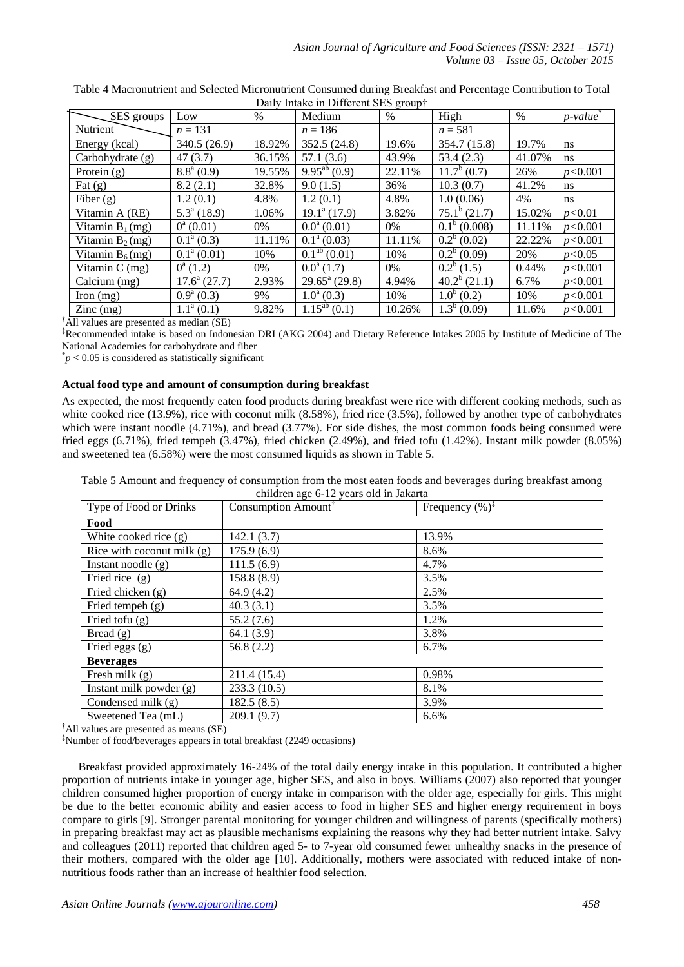| SES groups                             | Low                     | $\%$   | $P_{\text{univ}}$ make in Binerent sessence proup<br>Medium | $\%$   | High           | $\%$   | $p$ -value <sup>*</sup> |
|----------------------------------------|-------------------------|--------|-------------------------------------------------------------|--------|----------------|--------|-------------------------|
|                                        |                         |        |                                                             |        |                |        |                         |
| Nutrient                               | $n = 131$               |        | $n = 186$                                                   |        | $n = 581$      |        |                         |
| Energy (kcal)                          | 340.5 (26.9)            | 18.92% | 352.5(24.8)                                                 | 19.6%  | 354.7 (15.8)   | 19.7%  | <sub>ns</sub>           |
| Carbohydrate (g)                       | 47(3.7)                 | 36.15% | 57.1(3.6)                                                   | 43.9%  | 53.4(2.3)      | 41.07% | ns                      |
| Protein $(g)$                          | $8.8^{\mathrm{a}}(0.9)$ | 19.55% | $9.95^{ab}$ (0.9)                                           | 22.11% | $11.7^b(0.7)$  | 26%    | p<0.001                 |
| Fat $(g)$                              | 8.2(2.1)                | 32.8%  | 9.0(1.5)                                                    | 36%    | 10.3(0.7)      | 41.2%  | ns.                     |
| Fiber $(g)$                            | 1.2(0.1)                | 4.8%   | 1.2(0.1)                                                    | 4.8%   | 1.0(0.06)      | 4%     | ns.                     |
| Vitamin A (RE)                         | $5.3^a(18.9)$           | 1.06%  | $19.1^{\text{a}}(17.9)$                                     | 3.82%  | $75.1^b(21.7)$ | 15.02% | p<0.01                  |
| Vitamin $B_1$ (mg)                     | $0^a(0.01)$             | 0%     | $0.0^a(0.01)$                                               | 0%     | $0.1^b(0.008)$ | 11.11% | p<0.001                 |
| Vitamin $B_2$ (mg)                     | $0.1^{\text{a}}(0.3)$   | 11.11% | $0.1^{\text{a}}(0.03)$                                      | 11.11% | $0.2^b(0.02)$  | 22.22% | p<0.001                 |
| Vitamin $B_6$ (mg)                     | $0.1^{\text{a}}(0.01)$  | 10%    | $\overline{0.1}^{\text{ab}}(0.01)$                          | 10%    | $0.2^b(0.09)$  | 20%    | p<0.05                  |
| Vitamin $C$ (mg)                       | $0^a(1.2)$              | 0%     | $0.0^a(1.7)$                                                | 0%     | $0.2^b$ (1.5)  | 0.44%  | p<0.001                 |
| Calcium (mg)                           | $17.6^{\circ}$ (27.7)   | 2.93%  | $29.65^{\mathrm{a}}$ (29.8)                                 | 4.94%  | $40.2^b(21.1)$ | 6.7%   | p<0.001                 |
| Iron $(mg)$                            | $0.9^{\rm a}$ (0.3)     | 9%     | $1.0^a(0.3)$                                                | 10%    | $1.0^b$ (0.2)  | 10%    | p<0.001                 |
| $\text{Zinc} \left( \text{mg} \right)$ | $1.1^a(0.1)$            | 9.82%  | $\overline{1.1}5^{ab}$ (0.1)                                | 10.26% | $1.3^b$ (0.09) | 11.6%  | p<0.001                 |

Table 4 Macronutrient and Selected Micronutrient Consumed during Breakfast and Percentage Contribution to Total Daily Intake in Different SES group<sup>†</sup>

†All values are presented as median (SE)

‡Recommended intake is based on Indonesian DRI (AKG 2004) and Dietary Reference Intakes 2005 by Institute of Medicine of The National Academies for carbohydrate and fiber

 $p < 0.05$  is considered as statistically significant

# **Actual food type and amount of consumption during breakfast**

As expected, the most frequently eaten food products during breakfast were rice with different cooking methods, such as white cooked rice (13.9%), rice with coconut milk (8.58%), fried rice (3.5%), followed by another type of carbohydrates which were instant noodle  $(4.71\%)$ , and bread  $(3.77\%)$ . For side dishes, the most common foods being consumed were fried eggs (6.71%), fried tempeh (3.47%), fried chicken (2.49%), and fried tofu (1.42%). Instant milk powder (8.05%) and sweetened tea (6.58%) were the most consumed liquids as shown in Table 5.

Table 5 Amount and frequency of consumption from the most eaten foods and beverages during breakfast among children age 6-12 years old in Jakarta

| Type of Food or Drinks       | Consumption Amount | Frequency $(\% )^{\ddagger}$ |
|------------------------------|--------------------|------------------------------|
| Food                         |                    |                              |
| White cooked rice $(g)$      | 142.1 (3.7)        | 13.9%                        |
| Rice with coconut milk $(g)$ | 175.9(6.9)         | 8.6%                         |
| Instant noodle $(g)$         | 111.5(6.9)         | 4.7%                         |
| Fried rice (g)               | 158.8 (8.9)        | 3.5%                         |
| Fried chicken $(g)$          | 64.9(4.2)          | 2.5%                         |
| Fried tempeh $(g)$           | 40.3(3.1)          | 3.5%                         |
| Fried tofu $(g)$             | 55.2(7.6)          | 1.2%                         |
| Bread $(g)$                  | 64.1(3.9)          | 3.8%                         |
| Fried eggs (g)               | 56.8(2.2)          | 6.7%                         |
| <b>Beverages</b>             |                    |                              |
| Fresh milk $(g)$             | 211.4 (15.4)       | 0.98%                        |
| Instant milk powder $(g)$    | 233.3(10.5)        | 8.1%                         |
| Condensed milk (g)           | 182.5(8.5)         | 3.9%                         |
| Sweetened Tea (mL)           | 209.1(9.7)         | 6.6%                         |

†All values are presented as means (SE)

‡Number of food/beverages appears in total breakfast (2249 occasions)

Breakfast provided approximately 16-24% of the total daily energy intake in this population. It contributed a higher proportion of nutrients intake in younger age, higher SES, and also in boys. Williams (2007) also reported that younger children consumed higher proportion of energy intake in comparison with the older age, especially for girls. This might be due to the better economic ability and easier access to food in higher SES and higher energy requirement in boys compare to girls [9]. Stronger parental monitoring for younger children and willingness of parents (specifically mothers) in preparing breakfast may act as plausible mechanisms explaining the reasons why they had better nutrient intake. Salvy and colleagues (2011) reported that children aged 5- to 7-year old consumed fewer unhealthy snacks in the presence of their mothers, compared with the older age [10]. Additionally, mothers were associated with reduced intake of nonnutritious foods rather than an increase of healthier food selection.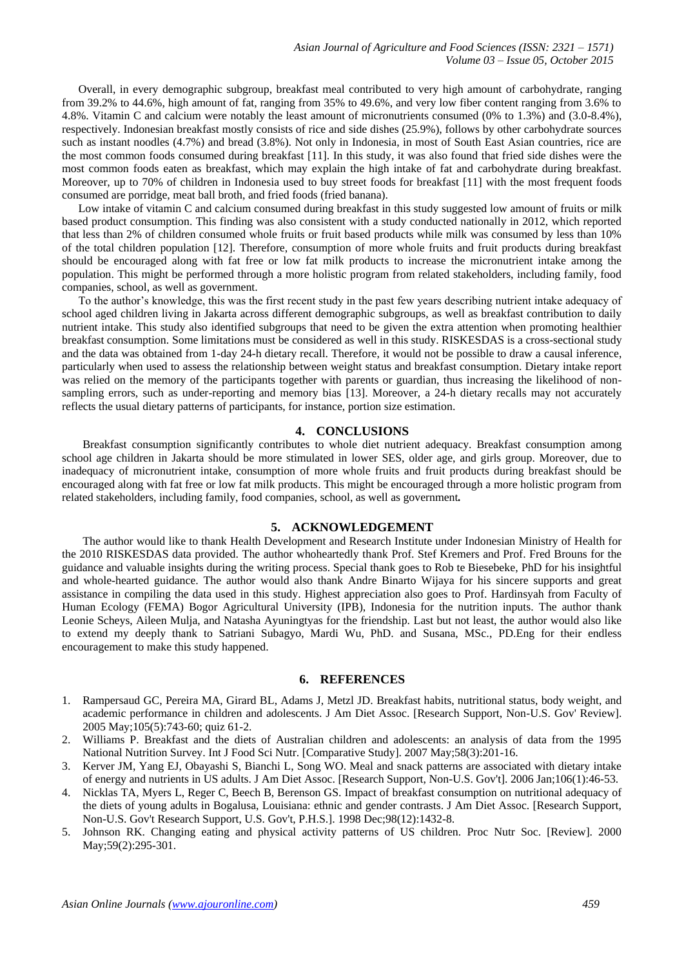Overall, in every demographic subgroup, breakfast meal contributed to very high amount of carbohydrate, ranging from 39.2% to 44.6%, high amount of fat, ranging from 35% to 49.6%, and very low fiber content ranging from 3.6% to 4.8%. Vitamin C and calcium were notably the least amount of micronutrients consumed (0% to 1.3%) and (3.0-8.4%), respectively. Indonesian breakfast mostly consists of rice and side dishes (25.9%), follows by other carbohydrate sources such as instant noodles (4.7%) and bread (3.8%). Not only in Indonesia, in most of South East Asian countries, rice are the most common foods consumed during breakfast [11]. In this study, it was also found that fried side dishes were the most common foods eaten as breakfast, which may explain the high intake of fat and carbohydrate during breakfast. Moreover, up to 70% of children in Indonesia used to buy street foods for breakfast [11] with the most frequent foods consumed are porridge, meat ball broth, and fried foods (fried banana).

Low intake of vitamin C and calcium consumed during breakfast in this study suggested low amount of fruits or milk based product consumption. This finding was also consistent with a study conducted nationally in 2012, which reported that less than 2% of children consumed whole fruits or fruit based products while milk was consumed by less than 10% of the total children population [12]. Therefore, consumption of more whole fruits and fruit products during breakfast should be encouraged along with fat free or low fat milk products to increase the micronutrient intake among the population. This might be performed through a more holistic program from related stakeholders, including family, food companies, school, as well as government.

To the author's knowledge, this was the first recent study in the past few years describing nutrient intake adequacy of school aged children living in Jakarta across different demographic subgroups, as well as breakfast contribution to daily nutrient intake. This study also identified subgroups that need to be given the extra attention when promoting healthier breakfast consumption. Some limitations must be considered as well in this study. RISKESDAS is a cross-sectional study and the data was obtained from 1-day 24-h dietary recall. Therefore, it would not be possible to draw a causal inference, particularly when used to assess the relationship between weight status and breakfast consumption. Dietary intake report was relied on the memory of the participants together with parents or guardian, thus increasing the likelihood of nonsampling errors, such as under-reporting and memory bias [13]. Moreover, a 24-h dietary recalls may not accurately reflects the usual dietary patterns of participants, for instance, portion size estimation.

## **4. CONCLUSIONS**

Breakfast consumption significantly contributes to whole diet nutrient adequacy. Breakfast consumption among school age children in Jakarta should be more stimulated in lower SES, older age, and girls group. Moreover, due to inadequacy of micronutrient intake, consumption of more whole fruits and fruit products during breakfast should be encouraged along with fat free or low fat milk products. This might be encouraged through a more holistic program from related stakeholders, including family, food companies, school, as well as government*.*

# **5. ACKNOWLEDGEMENT**

The author would like to thank Health Development and Research Institute under Indonesian Ministry of Health for the 2010 RISKESDAS data provided. The author whoheartedly thank Prof. Stef Kremers and Prof. Fred Brouns for the guidance and valuable insights during the writing process. Special thank goes to Rob te Biesebeke, PhD for his insightful and whole-hearted guidance. The author would also thank Andre Binarto Wijaya for his sincere supports and great assistance in compiling the data used in this study. Highest appreciation also goes to Prof. Hardinsyah from Faculty of Human Ecology (FEMA) Bogor Agricultural University (IPB), Indonesia for the nutrition inputs. The author thank Leonie Scheys, Aileen Mulja, and Natasha Ayuningtyas for the friendship. Last but not least, the author would also like to extend my deeply thank to Satriani Subagyo, Mardi Wu, PhD. and Susana, MSc., PD.Eng for their endless encouragement to make this study happened.

## **6. REFERENCES**

- 1. Rampersaud GC, Pereira MA, Girard BL, Adams J, Metzl JD. Breakfast habits, nutritional status, body weight, and academic performance in children and adolescents. J Am Diet Assoc. [Research Support, Non-U.S. Gov' Review]. 2005 May;105(5):743-60; quiz 61-2.
- 2. Williams P. Breakfast and the diets of Australian children and adolescents: an analysis of data from the 1995 National Nutrition Survey. Int J Food Sci Nutr. [Comparative Study]. 2007 May;58(3):201-16.
- 3. Kerver JM, Yang EJ, Obayashi S, Bianchi L, Song WO. Meal and snack patterns are associated with dietary intake of energy and nutrients in US adults. J Am Diet Assoc. [Research Support, Non-U.S. Gov't]. 2006 Jan;106(1):46-53.
- Nicklas TA, Myers L, Reger C, Beech B, Berenson GS. Impact of breakfast consumption on nutritional adequacy of the diets of young adults in Bogalusa, Louisiana: ethnic and gender contrasts. J Am Diet Assoc. [Research Support, Non-U.S. Gov't Research Support, U.S. Gov't, P.H.S.]. 1998 Dec;98(12):1432-8.
- 5. Johnson RK. Changing eating and physical activity patterns of US children. Proc Nutr Soc. [Review]. 2000 May; 59(2): 295-301.